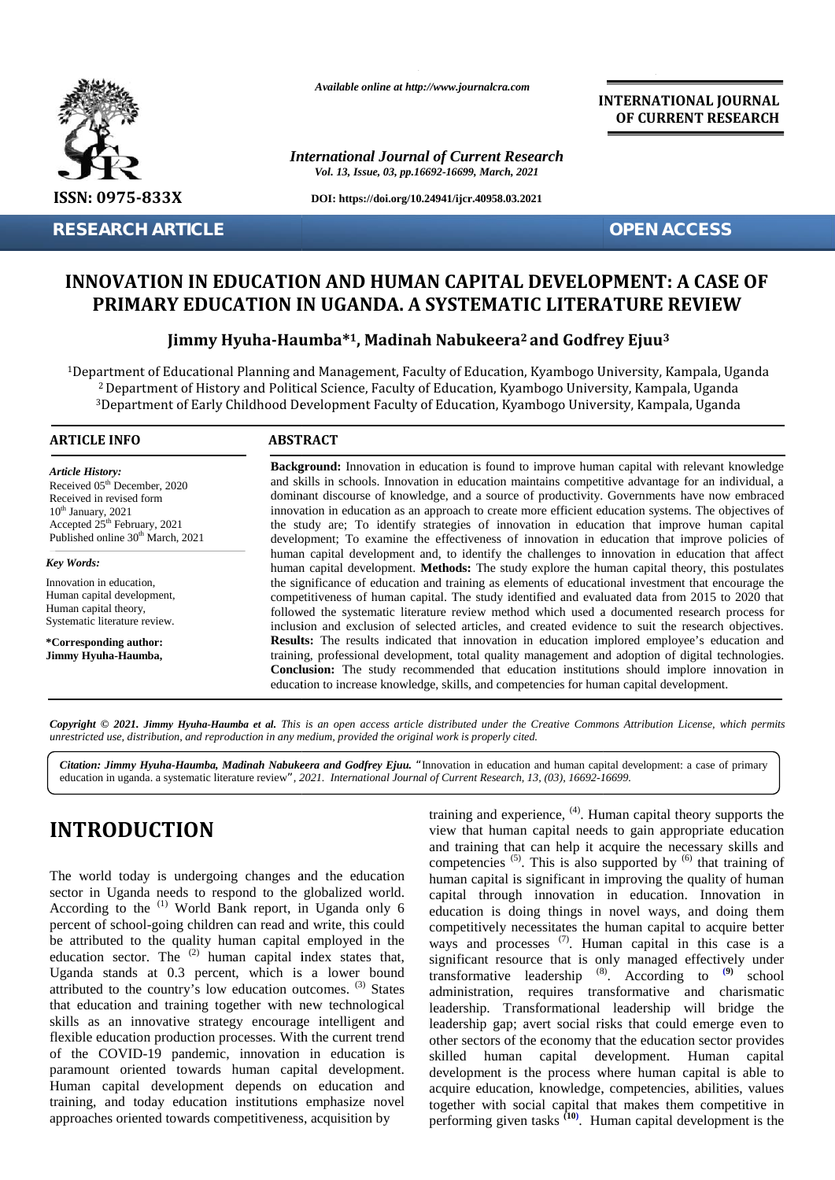

**RESEARCH ARTICLE OPEN ACCESS**

*Available online at http://www.journalcra.com*

*International Journal of Current Research Vol. 13, Issue, 03, pp.16692-16699, March, 2021*

**DOI: https://doi.org/10.24941/ijcr.40958.03.2021**

**INTERNATIONAL JOURNAL OF CURRENT RESEARCH**

## INNOVATION IN EDUCATION AND HUMAN CAPITAL DEVELOPMENT: A CASE OF **PRIMARY EDUCATION IN UGANDA. A SYSTEMATIC LITERATURE REVIEW PRIMARY**

**Jimmy Hyuha-Haumba\* <sup>1</sup>, Madinah Nabukeera<sup>2</sup> and Godfrey Ejuu<sup>3</sup> 1**

<sup>1</sup>Department of Educational Planning and Management, Faculty of Education, Kyambogo University, Kampala, Uganda artment of Educational Planning and Management, Faculty of Education, Kyambogo University, Kampala, Uganda<br><sup>2</sup> Department of History and Political Science, Faculty of Education, Kyambogo University, Kampala, Uganda <sup>3</sup>Department of Early Childhood Development Faculty of Education, Kyambogo University, Kampala, Uganda 3

#### **ARTICLE INFO ABSTRACT ARTICLE ABSTRACT**

*Article History: Article History:* Received  $05<sup>th</sup>$  December, 2020 Received U<sub>2</sub> December, 2020<br>Received in revised form  $10<sup>th</sup>$  January, 2021 Received in revised form<br>
10<sup>th</sup> January, 2021<br>
Accepted 25<sup>th</sup> February, 2021 the Published online  $30<sup>th</sup>$  March, 2021

*Key Words:* Innovation in education, Human capital development, Human capital theory, Innovation in education,<br>Human capital development,<br>Human capital theory,<br>Systematic literature review.

**\*Corresponding author: Jimmy Hyuha-Haumba,**

**Background:** Innovation in education is found to improve human capital with relevant knowledge and skills in schools. Innovation in education maintains competitive advantage for an individual, a dominant discourse of knowledge, and a source of productivity. Governments have now embraced innovation in education as an approach to create more efficient education systems. The objectives of the study are; To identify strategies of innovation in education that improve human capital development; To examine the effectiveness of innovation in education that improve policies of human capital development and, to identify the challenges to innovation in education that affect human capital development. **Methods:** The study explore the human capital theory, this postulates the significance of education and training as elements of educational investment that encourage the competitiveness of human capital. The study identified and evaluated data from 2015 to 2020 that followed the systematic literature review method which used a documented research process for inclusion and exclusion of selected articles, and created evidence to suit the research objectives. **Results:** The results indicated that innovation in education implored employee's education and training, professional development, total quality management and adoption of digital technologies. **Conclusion:** The study recommended that education institutions should implore innovation in education to increase knowledge, skills, and competencies for human capital development. **ound:** Innovation in education is found to improve human capital with relevant knowledge<br>lls in schools. Innovation in education maintains competitive advantage for an individual, a<br>nt discourse of knowledge, and a source professional development, total quality management and adoption of digital technologies.<br>In: The study recommended that education institutions should implore innovation in<br>to increase knowledge, skills, and competencies fo **EXERCH ARTICLE**<br> **EXERCHART ION IN EDUCATION AND HUMAN CAPITAL DEVELOPMENT<br>
<b>PRIMARY EDUCATION IN UGANDA. A SYSTEMATIC LITERATURE**<br> **EXERCHATION IN UGANDA. A SYSTEMATIC LITERATURE**<br> **EXERCHATION IN UGANDA. A SYSTEMATIC LI** Fr. 2020 and skills in schools. Innovation in education maintains computitive advantage for an individual<br>movation in education as an approach to create more efficient education systems. The objective<br>the study are; To ide <sup>2</sup> Department of History and Political Science, Faculty of Education, Kyambogo University, Kampala, Uganda<sup>3</sup> Department of Early Childhood Development Faculty of Education, Kyambogo University, Kampala, Uganda<sup>3</sup> Depart

**Copyright © 2021. Jimmy Hyuha-Haumba et al.** This is an open access article distributed under the Creative Commons Attribution License, which permits<br>unrestricted use, distribution, and reproduction in any medium, provide *unrestricted use,distribution, and reproduction in any medium, provided the original work is properly cited.*

**]** education in uganda. a systematic literature review*", 2021. International Journal of Current Research, 13, (03), 16692-16699. Citation: Jimmy Hyuha-Haumba, Madinah Nabukeera and Godfrey Ejuu. "*Innovation in education and human capital development: a case of primary

# **INTRODUCTION INTRODUCTION**

The world today is undergoing changes and the education sector in Uganda needs to respond to the globalized world. According to the  $(1)$  World Bank report, in Uganda only 6 educ percent of school-going children can read and write, this could be attributed to the quality human capital employed in the education sector. The  $(2)$  human capital index states that, Uganda stands at 0.3 percent, which is a lower bound attributed to the country's low education outcomes. <sup>(3)</sup> States  $\qquad$  adj that education and training together with new technological skills as an innovative strategy encourage intelligent and flexible education production processes. With the current trend of the COVID-19 pandemic, innovation in education is paramount oriented towards human capital development. Human capital development depends on education and training, and today education institutions emphasize novel approaches oriented towards competitiveness, acquisition by The world today is undergoing changes and the education sector in Uganda needs to respond to the globalized world. According to the <sup>(1)</sup> World Bank report, in Uganda only 6 percent of school-going children can read and w

training and experience, <sup>(4)</sup>. Human capital theory supports the view that human capital needs to gain appropriate education view that human capital needs to gain appropriate education<br>and training that can help it acquire the necessary skills and competencies  $(5)$ . This is also supported by  $(6)$  that training of human capital is significant in improving the quality of human capital through innovation in education. Innovation in education is doing things in novel ways, and doing them competitively necessitates the human capital to acquire better ways and processes  $(7)$ . Human capital in this case is a significant resource that is only managed effectively under transformative leadership (8). According to **(9)** school administration, requires transformative and charismatic leadership. Transformational leadership will bridge the leadership gap; avert social risks that could emerge even to other sectors of the economy that the education sector provides skilled human capital development. Human capital development is the process where human capital is able to acquire education, knowledge, competencies, abilities, values together with social capital that makes them competitive in performing given tasks <sup>(10)</sup>. Human capital development is the **INTRODUCTION**<br>
view that human capital mechanic and technological theory supported the mechanic of the isotoperation<br>
and training that can help it acquire the necessary skills and<br>
The world doday is undergoing changes ncies <sup>(5)</sup>. This is also supported by <sup>(6)</sup> that train apital is significant in improving the quality of through innovation in education. Innovation is doing things in novel ways, and doing According to  $^{(9)}$ the economy that the education sector provides<br>
in capital development. Human capital<br>
the process where human capital is able to<br>
on, knowledge, competencies, abilities, values **IJCTION** view that human capital needs to gain appropriate education<br>and training that can help it acquire the necessary skills and<br>competencies<sup> (5)</sup>. This is also supported by <sup>66</sup> that training of<br>the <sup>60</sup> yord Bank r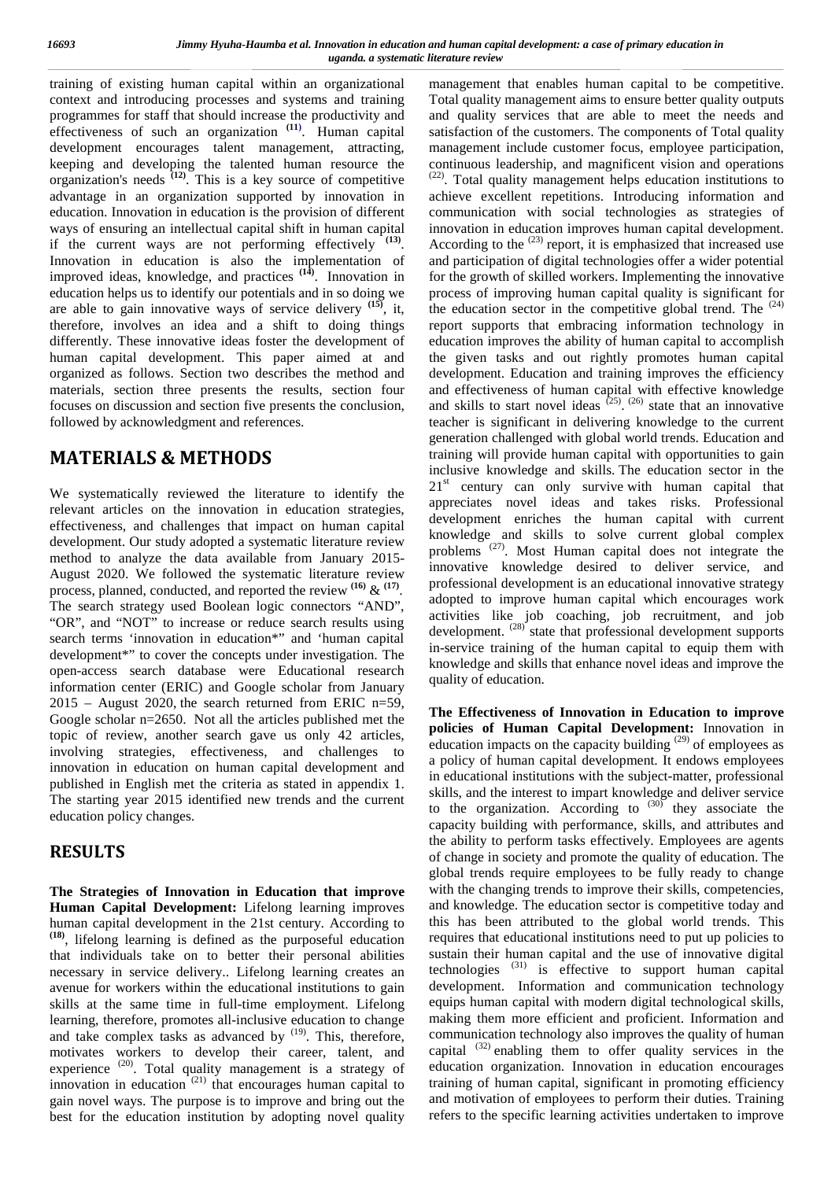training of existing human capital within an organizational context and introducing processes and systems and training programmes for staff that should increase the productivity and effectiveness of such an organization **(11)**. Human capital development encourages talent management, attracting, keeping and developing the talented human resource the organization's needs **(12)**. This is a key source of competitive advantage in an organization supported by innovation in education. Innovation in education is the provision of different ways of ensuring an intellectual capital shift in human capital if the current ways are not performing effectively **(13)**. Innovation in education is also the implementation of improved ideas, knowledge, and practices <sup>(14)</sup>. Innovation in for the education helps us to identify our potentials and in so doing we are able to gain innovative ways of service delivery **(15)**, it, therefore, involves an idea and a shift to doing things differently. These innovative ideas foster the development of human capital development. This paper aimed at and organized as follows. Section two describes the method and materials, section three presents the results, section four focuses on discussion and section five presents the conclusion, followed by acknowledgment and references.

## **MATERIALS & METHODS**

We systematically reviewed the literature to identify the relevant articles on the innovation in education strategies, effectiveness, and challenges that impact on human capital development. Our study adopted a systematic literature review method to analyze the data available from January 2015- August 2020. We followed the systematic literature review process, planned, conducted, and reported the review  $(16)$  &  $(17)$ . profe The search strategy used Boolean logic connectors "AND", "OR", and "NOT" to increase or reduce search results using search terms 'innovation in education\*" and 'human capital development\*" to cover the concepts under investigation. The open-access search database were Educational research information center (ERIC) and Google scholar from January  $2015$  – August 2020, the search returned from ERIC n=59, Google scholar n=2650. Not all the articles published met the topic of review, another search gave us only 42 articles, involving strategies, effectiveness, and challenges to innovation in education on human capital development and published in English met the criteria as stated in appendix 1. The starting year 2015 identified new trends and the current education policy changes.

#### **RESULTS**

**The Strategies of Innovation in Education that improve Human Capital Development:** Lifelong learning improves human capital development in the 21st century. According to **(18)**, lifelong learning is defined as the purposeful education that individuals take on to better their personal abilities necessary in service delivery.. Lifelong learning creates an avenue for workers within the educational institutions to gain skills at the same time in full-time employment. Lifelong learning, therefore, promotes all-inclusive education to change and take complex tasks as advanced by  $(19)$ . This, therefore, motivates workers to develop their career, talent, and experience  $(20)$ . Total quality management is a strategy of innovation in education  $(21)$  that encourages human capital to gain novel ways. The purpose is to improve and bring out the best for the education institution by adopting novel quality management that enables human capital to be competitive. Total quality management aims to ensure better quality outputs and quality services that are able to meet the needs and satisfaction of the customers. The components of Total quality management include customer focus, employee participation, continuous leadership, and magnificent vision and operations (22). Total quality management helps education institutions to achieve excellent repetitions. Introducing information and communication with social technologies as strategies of innovation in education improves human capital development. According to the  $(23)$  report, it is emphasized that increased use and participation of digital technologies offer a wider potential for the growth of skilled workers. Implementing the innovative process of improving human capital quality is significant for the education sector in the competitive global trend. The  $(24)$ report supports that embracing information technology in education improves the ability of human capital to accomplish the given tasks and out rightly promotes human capital development. Education and training improves the efficiency and effectiveness of human capital with effective knowledge and skills to start novel ideas  $(25)$ .  $(26)$  state that an innovative teacher is significant in delivering knowledge to the current generation challenged with global world trends. Education and training will provide human capital with opportunities to gain inclusive knowledge and skills. The education sector in the  $21<sup>st</sup>$  century can only survive with human capital that appreciates novel ideas and takes risks. Professional development enriches the human capital with current knowledge and skills to solve current global complex problems <sup>(27)</sup>. Most Human capital does not integrate the innovative knowledge desired to deliver service, and professional development is an educational innovative strategy adopted to improve human capital which encourages work activities like job coaching, job recruitment, and job development. <sup>(28)</sup> state that professional development supports in-service training of the human capital to equip them with knowledge and skills that enhance novel ideas and improve the quality of education.

**The Effectiveness of Innovation in Education to improve policies of Human Capital Development:** Innovation in education impacts on the capacity building  $(29)$  of employees as a policy of human capital development. It endows employees in educational institutions with the subject-matter, professional skills, and the interest to impart knowledge and deliver service to the organization. According to  $(30)$  they associate the capacity building with performance, skills, and attributes and the ability to perform tasks effectively. Employees are agents of change in society and promote the quality of education. The global trends require employees to be fully ready to change with the changing trends to improve their skills, competencies, and knowledge. The education sector is competitive today and this has been attributed to the global world trends. This requires that educational institutions need to put up policies to sustain their human capital and the use of innovative digital technologies (31) is effective to support human capital development. Information and communication technology equips human capital with modern digital technological skills, making them more efficient and proficient. Information and communication technology also improves the quality of human capital (32) enabling them to offer quality services in the education organization. Innovation in education encourages training of human capital, significant in promoting efficiency and motivation of employees to perform their duties. Training refers to the specific learning activities undertaken to improve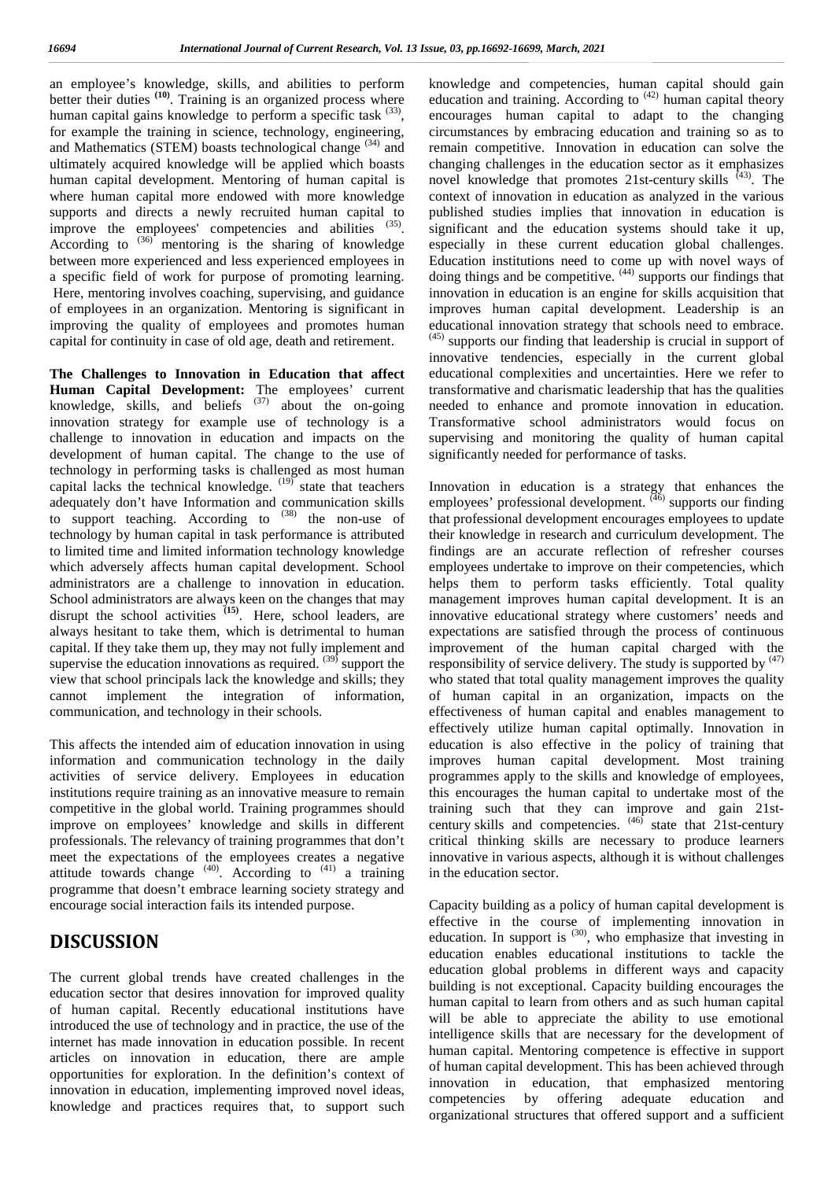an employee's knowledge, skills, and abilities to perform better their duties **(10)**. Training is an organized process where human capital gains knowledge to perform a specific task  $(33)$ , for example the training in science, technology, engineering, and Mathematics (STEM) boasts technological change (34) and ultimately acquired knowledge will be applied which boasts human capital development. Mentoring of human capital is where human capital more endowed with more knowledge supports and directs a newly recruited human capital to improve the employees' competencies and abilities (35). According to  $(36)$  mentoring is the sharing of knowledge between more experienced and less experienced employees in a specific field of work for purpose of promoting learning. Here, mentoring involves coaching, supervising, and guidance of employees in an organization. Mentoring is significant in improving the quality of employees and promotes human capital for continuity in case of old age, death and retirement.

**The Challenges to Innovation in Education that affect Human Capital Development:** The employees' current knowledge, skills, and beliefs  $^{(37)}$  about the on-going need innovation strategy for example use of technology is a challenge to innovation in education and impacts on the development of human capital. The change to the use of technology in performing tasks is challenged as most human capital lacks the technical knowledge.  $(19)$  state that teachers adequately don't have Information and communication skills to support teaching. According to  $(38)$  the non-use of technology by human capital in task performance is attributed to limited time and limited information technology knowledge which adversely affects human capital development. School administrators are a challenge to innovation in education. School administrators are always keen on the changes that may mana disrupt the school activities <sup>(15)</sup>. Here, school leaders, are inno always hesitant to take them, which is detrimental to human capital. If they take them up, they may not fully implement and supervise the education innovations as required.  $(39)$  support the view that school principals lack the knowledge and skills; they cannot implement the integration of information, communication, and technology in their schools.

This affects the intended aim of education innovation in using information and communication technology in the daily activities of service delivery. Employees in education institutions require training as an innovative measure to remain competitive in the global world. Training programmes should improve on employees' knowledge and skills in different professionals. The relevancy of training programmes that don't meet the expectations of the employees creates a negative attitude towards change  $(40)$ . According to  $(41)$  a training programme that doesn't embrace learning society strategy and encourage social interaction fails its intended purpose.

### **DISCUSSION**

The current global trends have created challenges in the education sector that desires innovation for improved quality of human capital. Recently educational institutions have introduced the use of technology and in practice, the use of the internet has made innovation in education possible. In recent articles on innovation in education, there are ample opportunities for exploration. In the definition's context of innovation in education, implementing improved novel ideas, knowledge and practices requires that, to support such

knowledge and competencies, human capital should gain education and training. According to  $(42)$  human capital theory encourages human capital to adapt to the changing circumstances by embracing education and training so as to remain competitive. Innovation in education can solve the changing challenges in the education sector as it emphasizes novel knowledge that promotes 21st-century skills  $(43)$ . The context of innovation in education as analyzed in the various published studies implies that innovation in education is significant and the education systems should take it up, especially in these current education global challenges. Education institutions need to come up with novel ways of doing things and be competitive. <sup>(44)</sup> supports our findings that innovation in education is an engine for skills acquisition that improves human capital development. Leadership is an educational innovation strategy that schools need to embrace. (45) supports our finding that leadership is crucial in support of innovative tendencies, especially in the current global educational complexities and uncertainties. Here we refer to transformative and charismatic leadership that has the qualities needed to enhance and promote innovation in education. Transformative school administrators would focus on supervising and monitoring the quality of human capital significantly needed for performance of tasks.

Innovation in education is a strategy that enhances the employees' professional development. <sup>(46)</sup> supports our finding that professional development encourages employees to update their knowledge in research and curriculum development. The findings are an accurate reflection of refresher courses employees undertake to improve on their competencies, which helps them to perform tasks efficiently. Total quality management improves human capital development. It is an innovative educational strategy where customers' needs and expectations are satisfied through the process of continuous improvement of the human capital charged with the responsibility of service delivery. The study is supported by  $(47)$ who stated that total quality management improves the quality of human capital in an organization, impacts on the effectiveness of human capital and enables management to effectively utilize human capital optimally. Innovation in education is also effective in the policy of training that improves human capital development. Most training programmes apply to the skills and knowledge of employees, this encourages the human capital to undertake most of the training such that they can improve and gain 21st century skills and competencies.  $(46)$  state that 21st-century critical thinking skills are necessary to produce learners innovative in various aspects, although it is without challenges in the education sector.

Capacity building as a policy of human capital development is effective in the course of implementing innovation in education. In support is <sup>(30)</sup>, who emphasize that investing in education enables educational institutions to tackle the education global problems in different ways and capacity building is not exceptional. Capacity building encourages the human capital to learn from others and as such human capital will be able to appreciate the ability to use emotional intelligence skills that are necessary for the development of human capital. Mentoring competence is effective in support of human capital development. This has been achieved through innovation in education, that emphasized mentoring competencies by offering adequate education and organizational structures that offered support and a sufficient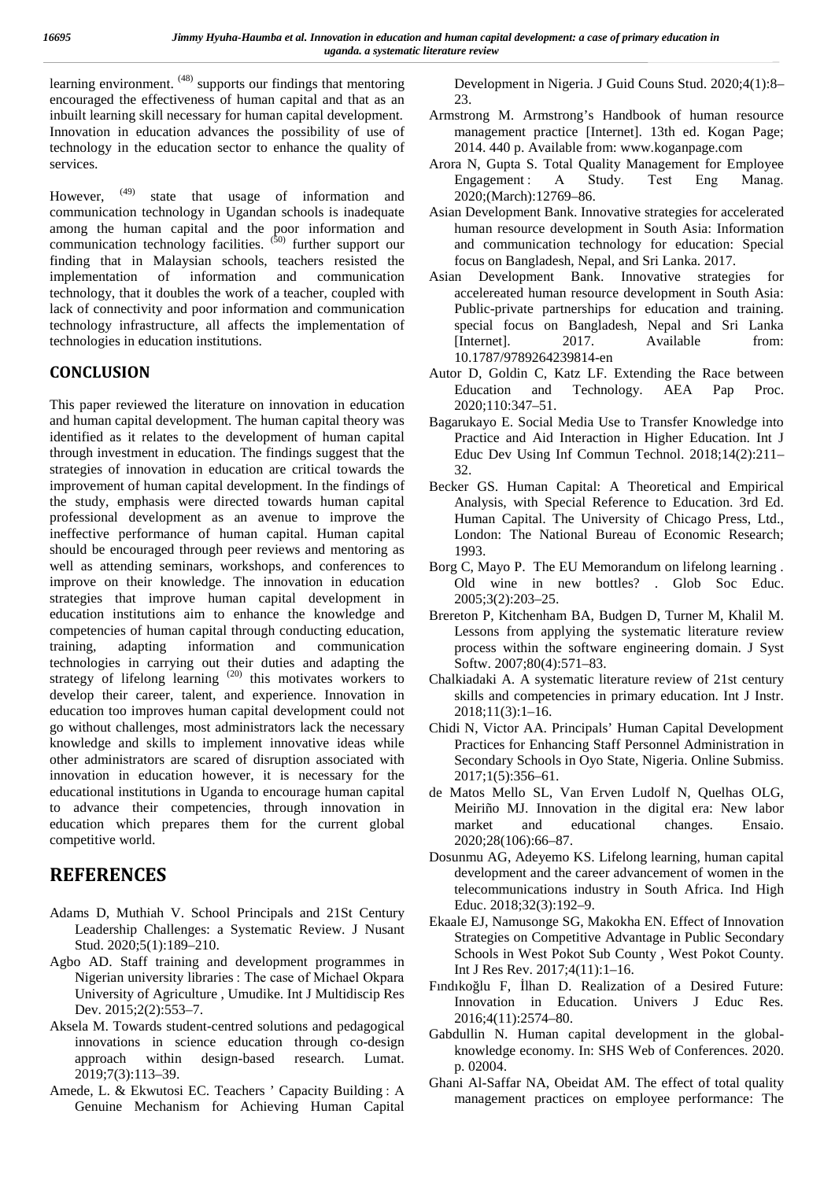learning environment. <sup>(48)</sup> supports our findings that mentoring encouraged the effectiveness of human capital and that as an inbuilt learning skill necessary for human capital development. Innovation in education advances the possibility of use of technology in the education sector to enhance the quality of services.

However, <sup>(49)</sup> state that usage of information and communication technology in Ugandan schools is inadequate among the human capital and the poor information and communication technology facilities. <sup>(50)</sup> further support our finding that in Malaysian schools, teachers resisted the implementation of information and communication technology, that it doubles the work of a teacher, coupled with lack of connectivity and poor information and communication technology infrastructure, all affects the implementation of technologies in education institutions.

#### **CONCLUSION**

This paper reviewed the literature on innovation in education and human capital development. The human capital theory was identified as it relates to the development of human capital through investment in education. The findings suggest that the strategies of innovation in education are critical towards the improvement of human capital development. In the findings of the study, emphasis were directed towards human capital professional development as an avenue to improve the ineffective performance of human capital. Human capital should be encouraged through peer reviews and mentoring as well as attending seminars, workshops, and conferences to improve on their knowledge. The innovation in education strategies that improve human capital development in education institutions aim to enhance the knowledge and competencies of human capital through conducting education, training, adapting information and communication technologies in carrying out their duties and adapting the strategy of lifelong learning  $(20)$  this motivates workers to develop their career, talent, and experience. Innovation in education too improves human capital development could not go without challenges, most administrators lack the necessary knowledge and skills to implement innovative ideas while other administrators are scared of disruption associated with innovation in education however, it is necessary for the educational institutions in Uganda to encourage human capital to advance their competencies, through innovation in education which prepares them for the current global competitive world.

## **REFERENCES**

- Adams D, Muthiah V. School Principals and 21St Century Leadership Challenges: a Systematic Review. J Nusant Stud. 2020;5(1):189–210.
- Agbo AD. Staff training and development programmes in Nigerian university libraries : The case of Michael Okpara University of Agriculture , Umudike. Int J Multidiscip Res Dev. 2015;2(2):553–7.
- Aksela M. Towards student-centred solutions and pedagogical innovations in science education through co-design approach within design-based research. Lumat. 2019;7(3):113–39.
- Amede, L. & Ekwutosi EC. Teachers ' Capacity Building : A Genuine Mechanism for Achieving Human Capital

Development in Nigeria. J Guid Couns Stud. 2020;4(1):8– 23.

- Armstrong M. Armstrong's Handbook of human resource management practice [Internet]. 13th ed. Kogan Page; 2014. 440 p. Available from: www.koganpage.com
- Arora N, Gupta S. Total Quality Management for Employee Engagement: A Study. Test Eng Manag. 2020;(March):12769–86.
- Asian Development Bank. Innovative strategies for accelerated human resource development in South Asia: Information and communication technology for education: Special focus on Bangladesh, Nepal, and Sri Lanka. 2017.
- Asian Development Bank. Innovative strategies for accelereated human resource development in South Asia: Public-private partnerships for education and training. special focus on Bangladesh, Nepal and Sri Lanka [Internet]. 2017. Available from: 10.1787/9789264239814-en
- Autor D, Goldin C, Katz LF. Extending the Race between Education and Technology. AEA Pap Proc. 2020;110:347–51.
- Bagarukayo E. Social Media Use to Transfer Knowledge into Practice and Aid Interaction in Higher Education. Int J Educ Dev Using Inf Commun Technol. 2018;14(2):211– 32.
- Becker GS. Human Capital: A Theoretical and Empirical Analysis, with Special Reference to Education. 3rd Ed. Human Capital. The University of Chicago Press, Ltd., London: The National Bureau of Economic Research; 1993.
- Borg C, Mayo P. The EU Memorandum on lifelong learning . Old wine in new bottles? . Glob Soc Educ. 2005;3(2):203–25.
- Brereton P, Kitchenham BA, Budgen D, Turner M, Khalil M. Lessons from applying the systematic literature review process within the software engineering domain. J Syst Softw. 2007;80(4):571–83.
- Chalkiadaki A. A systematic literature review of 21st century skills and competencies in primary education. Int J Instr. 2018;11(3):1–16.
- Chidi N, Victor AA. Principals' Human Capital Development Practices for Enhancing Staff Personnel Administration in Secondary Schools in Oyo State, Nigeria. Online Submiss. 2017;1(5):356–61.
- de Matos Mello SL, Van Erven Ludolf N, Quelhas OLG, Meiriño MJ. Innovation in the digital era: New labor market and educational changes. Ensaio. 2020;28(106):66–87.
- Dosunmu AG, Adeyemo KS. Lifelong learning, human capital development and the career advancement of women in the telecommunications industry in South Africa. Ind High Educ. 2018;32(3):192–9.
- Ekaale EJ, Namusonge SG, Makokha EN. Effect of Innovation Strategies on Competitive Advantage in Public Secondary Schools in West Pokot Sub County , West Pokot County. Int J Res Rev. 2017;4(11):1–16.
- Findiko lu F, Ihan D. Realization of a Desired Future: Innovation in Education. Univers J Educ Res. 2016;4(11):2574–80.
- Gabdullin N. Human capital development in the global knowledge economy. In: SHS Web of Conferences. 2020. p. 02004.
- Ghani Al-Saffar NA, Obeidat AM. The effect of total quality management practices on employee performance: The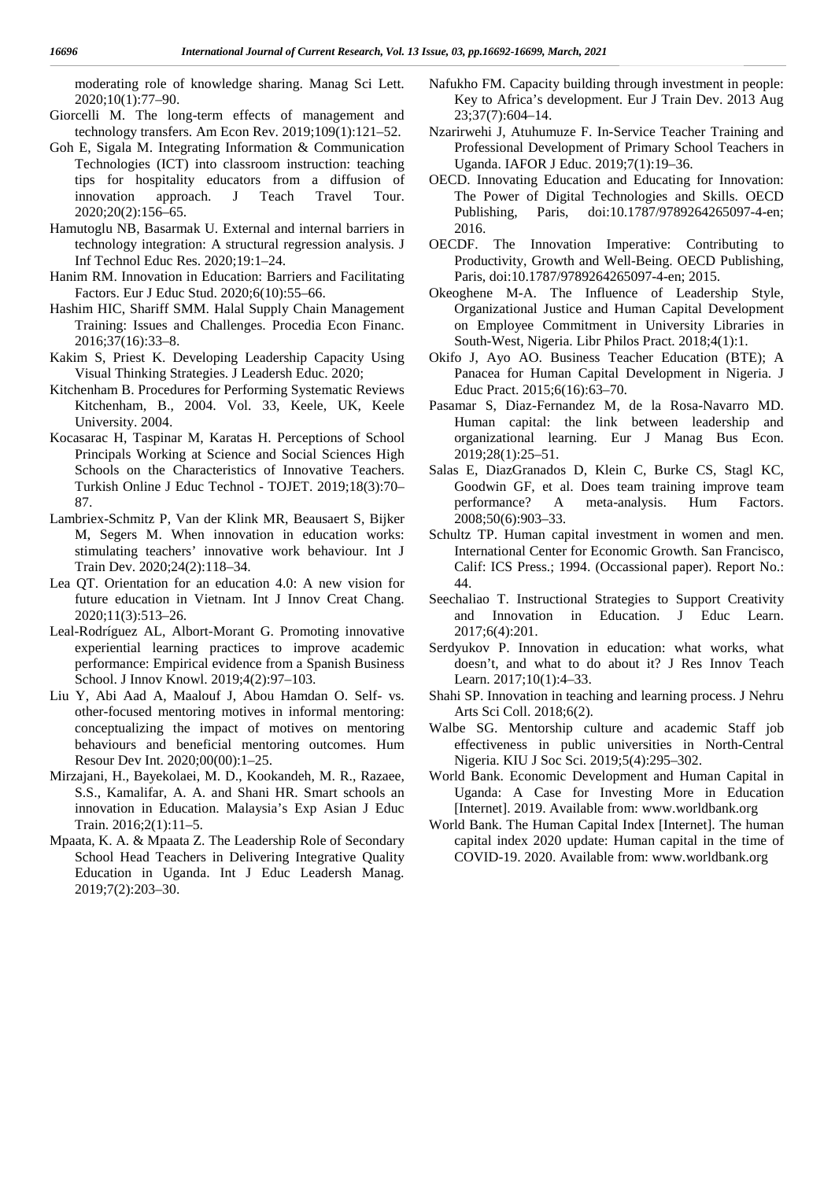moderating role of knowledge sharing. Manag Sci Lett. 2020;10(1):77–90.

- Giorcelli M. The long-term effects of management and technology transfers. Am Econ Rev. 2019;109(1):121–52.
- Goh E, Sigala M. Integrating Information & Communication Technologies (ICT) into classroom instruction: teaching tips for hospitality educators from a diffusion of innovation approach. J Teach Travel Tour. 2020;20(2):156–65.
- Hamutoglu NB, Basarmak U. External and internal barriers in technology integration: A structural regression analysis. J Inf Technol Educ Res. 2020;19:1–24.
- Hanim RM. Innovation in Education: Barriers and Facilitating Factors. Eur J Educ Stud. 2020;6(10):55–66.
- Hashim HIC, Shariff SMM. Halal Supply Chain Management Training: Issues and Challenges. Procedia Econ Financ. 2016;37(16):33–8.
- Kakim S, Priest K. Developing Leadership Capacity Using Visual Thinking Strategies. J Leadersh Educ. 2020;
- Kitchenham B. Procedures for Performing Systematic Reviews Kitchenham, B., 2004. Vol. 33, Keele, UK, Keele University. 2004.
- Kocasarac H, Taspinar M, Karatas H. Perceptions of School Principals Working at Science and Social Sciences High Schools on the Characteristics of Innovative Teachers. Turkish Online J Educ Technol - TOJET. 2019;18(3):70– 87.
- Lambriex-Schmitz P, Van der Klink MR, Beausaert S, Bijker M, Segers M. When innovation in education works: stimulating teachers' innovative work behaviour. Int J Train Dev. 2020;24(2):118–34.
- Lea QT. Orientation for an education 4.0: A new vision for future education in Vietnam. Int J Innov Creat Chang. 2020;11(3):513–26.
- Leal-Rodríguez AL, Albort-Morant G. Promoting innovative experiential learning practices to improve academic performance: Empirical evidence from a Spanish Business School. J Innov Knowl. 2019;4(2):97–103.
- Liu Y, Abi Aad A, Maalouf J, Abou Hamdan O. Self- vs. other-focused mentoring motives in informal mentoring: conceptualizing the impact of motives on mentoring behaviours and beneficial mentoring outcomes. Hum Resour Dev Int. 2020;00(00):1–25.
- Mirzajani, H., Bayekolaei, M. D., Kookandeh, M. R., Razaee, S.S., Kamalifar, A. A. and Shani HR. Smart schools an innovation in Education. Malaysia's Exp Asian J Educ Train. 2016;2(1):11–5.
- Mpaata, K. A. & Mpaata Z. The Leadership Role of Secondary School Head Teachers in Delivering Integrative Quality Education in Uganda. Int J Educ Leadersh Manag. 2019;7(2):203–30.
- Nafukho FM. Capacity building through investment in people: Key to Africa's development. Eur J Train Dev. 2013 Aug 23;37(7):604–14.
- Nzarirwehi J, Atuhumuze F. In-Service Teacher Training and Professional Development of Primary School Teachers in Uganda. IAFOR J Educ. 2019;7(1):19–36.
- OECD. Innovating Education and Educating for Innovation: The Power of Digital Technologies and Skills. OECD Publishing, Paris, doi:10.1787/9789264265097-4-en; 2016.
- OECDF. The Innovation Imperative: Contributing to Productivity, Growth and Well-Being. OECD Publishing, Paris, doi:10.1787/9789264265097-4-en; 2015.
- Okeoghene M-A. The Influence of Leadership Style, Organizational Justice and Human Capital Development on Employee Commitment in University Libraries in South-West, Nigeria. Libr Philos Pract. 2018;4(1):1.
- Okifo J, Ayo AO. Business Teacher Education (BTE); A Panacea for Human Capital Development in Nigeria. J Educ Pract. 2015;6(16):63–70.
- Pasamar S, Diaz-Fernandez M, de la Rosa-Navarro MD. Human capital: the link between leadership and organizational learning. Eur J Manag Bus Econ. 2019;28(1):25–51.
- Salas E, DiazGranados D, Klein C, Burke CS, Stagl KC, Goodwin GF, et al. Does team training improve team performance? A meta-analysis. Hum Factors. 2008;50(6):903–33.
- Schultz TP. Human capital investment in women and men. International Center for Economic Growth. San Francisco, Calif: ICS Press.; 1994. (Occassional paper). Report No.: 44.
- Seechaliao T. Instructional Strategies to Support Creativity and Innovation in Education. J Educ Learn. 2017;6(4):201.
- Serdyukov P. Innovation in education: what works, what doesn't, and what to do about it? J Res Innov Teach Learn. 2017;10(1):4–33.
- Shahi SP. Innovation in teaching and learning process. J Nehru Arts Sci Coll. 2018;6(2).
- Walbe SG. Mentorship culture and academic Staff job effectiveness in public universities in North-Central Nigeria. KIU J Soc Sci. 2019;5(4):295–302.
- World Bank. Economic Development and Human Capital in Uganda: A Case for Investing More in Education [Internet]. 2019. Available from: www.worldbank.org
- World Bank. The Human Capital Index [Internet]. The human capital index 2020 update: Human capital in the time of COVID-19. 2020. Available from: www.worldbank.org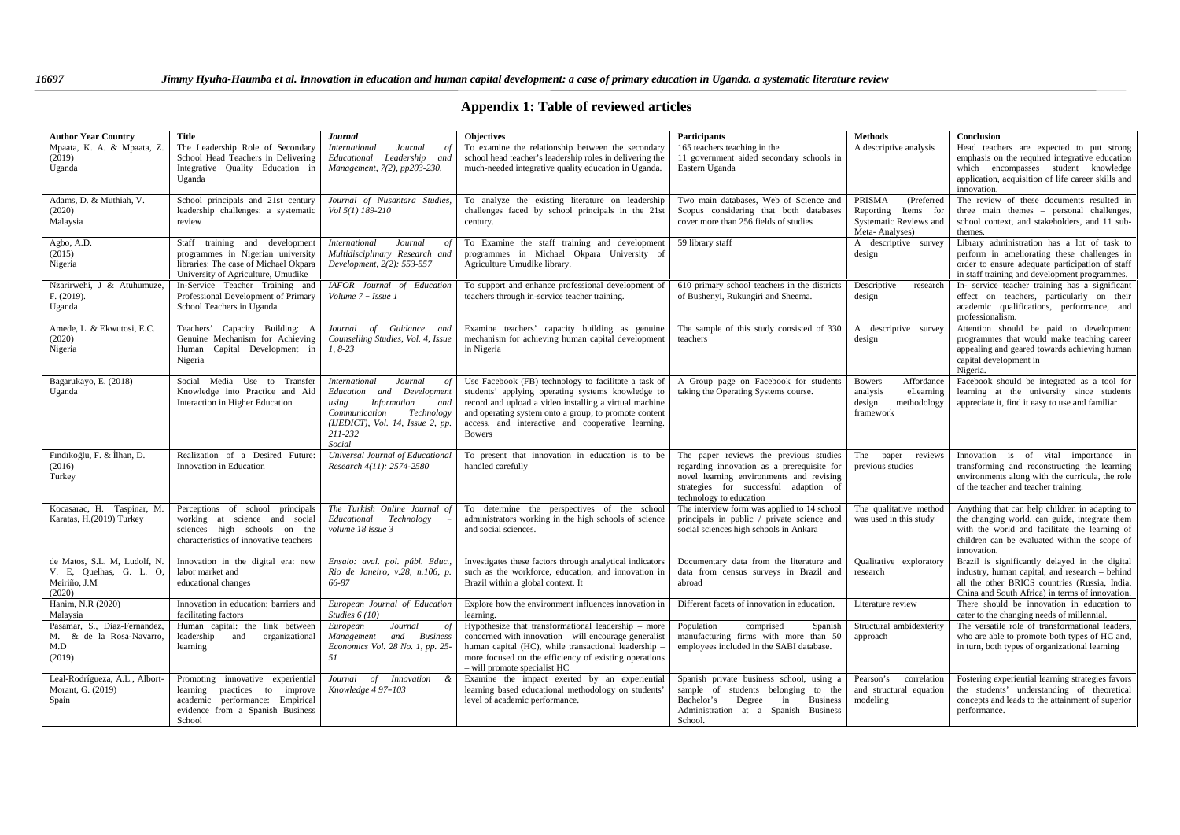#### **Appendix 1: Table of reviewed articles**

| <b>Author Year Country</b>                                                        | <b>Title</b>                                                                                                                                           | <b>Journal</b>                                                                                                                                                                                        | <b>Objectives</b>                                                                                                                                                                                                                                                                                  | Participants                                                                                                                                                                                         | <b>Methods</b>                                                                             | Conclusion                                                                                                                                                                                                       |
|-----------------------------------------------------------------------------------|--------------------------------------------------------------------------------------------------------------------------------------------------------|-------------------------------------------------------------------------------------------------------------------------------------------------------------------------------------------------------|----------------------------------------------------------------------------------------------------------------------------------------------------------------------------------------------------------------------------------------------------------------------------------------------------|------------------------------------------------------------------------------------------------------------------------------------------------------------------------------------------------------|--------------------------------------------------------------------------------------------|------------------------------------------------------------------------------------------------------------------------------------------------------------------------------------------------------------------|
| Mpaata, K. A. & Mpaata, Z.<br>(2019)<br>Uganda                                    | The Leadership Role of Secondary<br>School Head Teachers in Delivering<br>Integrative Quality Education in<br>Uganda                                   | <i>International</i><br>Journal<br>-of<br>Leadership and<br>Educational<br>Management, 7(2), pp203-230.                                                                                               | To examine the relationship between the secondary<br>school head teacher's leadership roles in delivering the<br>much-needed integrative quality education in Uganda.                                                                                                                              | 165 teachers teaching in the<br>11 government aided secondary schools in<br>Eastern Uganda                                                                                                           | A descriptive analysis                                                                     | Head teachers are expected to put strong<br>emphasis on the required integrative education<br>which encompasses student knowledge<br>application, acquisition of life career skills and<br>innovation.           |
| Adams, D. & Muthiah, V.<br>(2020)<br>Malaysia                                     | School principals and 21st century<br>leadership challenges: a systematic<br>review                                                                    | Journal of Nusantara Studies,<br>Vol 5(1) 189-210                                                                                                                                                     | To analyze the existing literature on leadership<br>challenges faced by school principals in the 21st<br>century.                                                                                                                                                                                  | Two main databases, Web of Science and<br>Scopus considering that both databases<br>cover more than 256 fields of studies                                                                            | PRISMA<br>(Preferred<br>Reporting<br>Items for<br>Systematic Reviews and<br>Meta-Analyses) | The review of these documents resulted in<br>three main themes - personal challenges,<br>school context, and stakeholders, and 11 sub-<br>themes.                                                                |
| Agbo, A.D.<br>(2015)<br>Nigeria                                                   | Staff training and development<br>programmes in Nigerian university<br>libraries: The case of Michael Okpara<br>University of Agriculture, Umudike     | <b>International</b><br>Journal<br>of<br>Multidisciplinary Research and<br>Development, 2(2): 553-557                                                                                                 | To Examine the staff training and development<br>programmes in Michael Okpara University of<br>Agriculture Umudike library.                                                                                                                                                                        | 59 library staff                                                                                                                                                                                     | A descriptive survey<br>design                                                             | Library administration has a lot of task to<br>perform in ameliorating these challenges in<br>order to ensure adequate participation of staff<br>in staff training and development programmes.                   |
| Nzarirwehi, J & Atuhumuze.<br>F. (2019).<br>Uganda                                | In-Service Teacher Training and<br>Professional Development of Primary<br>School Teachers in Uganda                                                    | IAFOR Journal of Education<br>Volume $7 - I$ ssue 1                                                                                                                                                   | To support and enhance professional development of<br>teachers through in-service teacher training.                                                                                                                                                                                                | 610 primary school teachers in the districts<br>of Bushenyi, Rukungiri and Sheema.                                                                                                                   | Descriptive<br>research<br>design                                                          | In- service teacher training has a significant<br>effect on teachers, particularly on their<br>academic qualifications, performance, and<br>professionalism.                                                     |
| Amede, L. & Ekwutosi, E.C.<br>(2020)<br>Nigeria                                   | Teachers' Capacity Building: A<br>Genuine Mechanism for Achieving<br>Human Capital Development in<br>Nigeria                                           | of Guidance and<br>Journal<br>Counselling Studies, Vol. 4, Issue<br>$1, 8-23$                                                                                                                         | Examine teachers' capacity building as genuine<br>mechanism for achieving human capital development<br>in Nigeria                                                                                                                                                                                  | The sample of this study consisted of 330<br>teachers                                                                                                                                                | A descriptive survey<br>design                                                             | Attention should be paid to development<br>programmes that would make teaching career<br>appealing and geared towards achieving human<br>capital development in<br>Nigeria.                                      |
| Bagarukayo, E. (2018)<br>Uganda                                                   | Media Use to Transfer<br>Social<br>Knowledge into Practice and Aid<br>Interaction in Higher Education                                                  | <i>International</i><br>Journal<br>- of<br>Education<br>and<br>Development<br>using<br>Information<br>and<br>Communication<br>Technology<br>( $IJEDICT$ ), Vol. 14, Issue 2, pp.<br>211-232<br>Social | Use Facebook (FB) technology to facilitate a task of<br>students' applying operating systems knowledge to<br>record and upload a video installing a virtual machine<br>and operating system onto a group; to promote content<br>access, and interactive and cooperative learning.<br><b>Bowers</b> | A Group page on Facebook for students<br>taking the Operating Systems course.                                                                                                                        | Affordance<br><b>Bowers</b><br>analysis<br>eLearning<br>design<br>methodology<br>framework | Facebook should be integrated as a tool for<br>learning at the university since students<br>appreciate it, find it easy to use and familiar                                                                      |
| Findiko lu, F. & Ihan, D.<br>(2016)<br>Turkey                                     | Realization of a Desired Future:<br>Innovation in Education                                                                                            | Universal Journal of Educational<br>Research 4(11): 2574-2580                                                                                                                                         | To present that innovation in education is to be<br>handled carefully                                                                                                                                                                                                                              | The paper reviews the previous studies<br>regarding innovation as a prerequisite for<br>novel learning environments and revising<br>strategies for successful adaption of<br>technology to education | The paper reviews<br>previous studies                                                      | Innovation is of vital importance in<br>transforming and reconstructing the learning<br>environments along with the curricula, the role<br>of the teacher and teacher training.                                  |
| Kocasarac, H. Taspinar, M.<br>Karatas, H.(2019) Turkey                            | Perceptions of school principals<br>working at science and social<br>sciences high schools on the<br>characteristics of innovative teachers            | The Turkish Online Journal of<br>Educational Technology<br>volume 18 issue 3                                                                                                                          | To determine the perspectives of the school<br>administrators working in the high schools of science<br>and social sciences.                                                                                                                                                                       | The interview form was applied to 14 school<br>principals in public / private science and<br>social sciences high schools in Ankara                                                                  | The qualitative method<br>was used in this study                                           | Anything that can help children in adapting to<br>the changing world, can guide, integrate them<br>with the world and facilitate the learning of<br>children can be evaluated within the scope of<br>innovation. |
| de Matos, S.L. M, Ludolf, N.<br>V. E, Quelhas, G. L. O,<br>Meiriño, J.M<br>(2020) | Innovation in the digital era: new<br>labor market and<br>educational changes                                                                          | Ensaio: aval. pol. públ. Educ.<br>Rio de Janeiro, v.28, n.106, p.<br>66-87                                                                                                                            | Investigates these factors through analytical indicators<br>such as the workforce, education, and innovation in<br>Brazil within a global context. It                                                                                                                                              | Documentary data from the literature and<br>data from census surveys in Brazil and<br>abroad                                                                                                         | Qualitative exploratory<br>research                                                        | Brazil is significantly delayed in the digital<br>industry, human capital, and research - behind<br>all the other BRICS countries (Russia, India,<br>China and South Africa) in terms of innovation.             |
| Hanim, N.R (2020)<br>Malaysia                                                     | Innovation in education: barriers and<br>facilitating factors                                                                                          | European Journal of Education<br>Studies $6(10)$                                                                                                                                                      | Explore how the environment influences innovation in<br>learning.                                                                                                                                                                                                                                  | Different facets of innovation in education.                                                                                                                                                         | Literature review                                                                          | There should be innovation in education to<br>cater to the changing needs of millennial.                                                                                                                         |
| Pasamar, S., Diaz-Fernandez.<br>M. & de la Rosa-Navarro.<br>M.D<br>(2019)         | Human capital: the link between<br>leadership<br>and<br>organizational<br>learning                                                                     | European<br>Journal<br>- of<br>Management<br>and<br><b>Business</b><br>Economics Vol. 28 No. 1, pp. 25-<br>51                                                                                         | Hypothesize that transformational leadership - more<br>concerned with innovation – will encourage generalist<br>human capital (HC), while transactional leadership -<br>more focused on the efficiency of existing operations<br>- will promote specialist HC                                      | Population<br>comprised<br>Spanish<br>manufacturing firms with more than 50<br>employees included in the SABI database.                                                                              | Structural ambidexterity<br>approach                                                       | The versatile role of transformational leaders.<br>who are able to promote both types of HC and,<br>in turn, both types of organizational learning                                                               |
| Leal-Rodrígueza, A.L., Albort-<br>Morant, G. (2019)<br>Spain                      | Promoting innovative experiential<br>practices to improve<br>learning<br>academic performance: Empirical<br>evidence from a Spanish Business<br>School | Journal of Innovation<br>&<br>Knowledge 4 97-103                                                                                                                                                      | Examine the impact exerted by an experiential<br>learning based educational methodology on students'<br>level of academic performance.                                                                                                                                                             | Spanish private business school, using a<br>sample of students belonging to the<br>Bachelor's<br>Degree<br><b>Business</b><br>in<br>Administration at a Spanish Business<br>School.                  | Pearson's correlation<br>and structural equation<br>modeling                               | Fostering experiential learning strategies favors<br>the students' understanding of theoretical<br>concepts and leads to the attainment of superior<br>performance.                                              |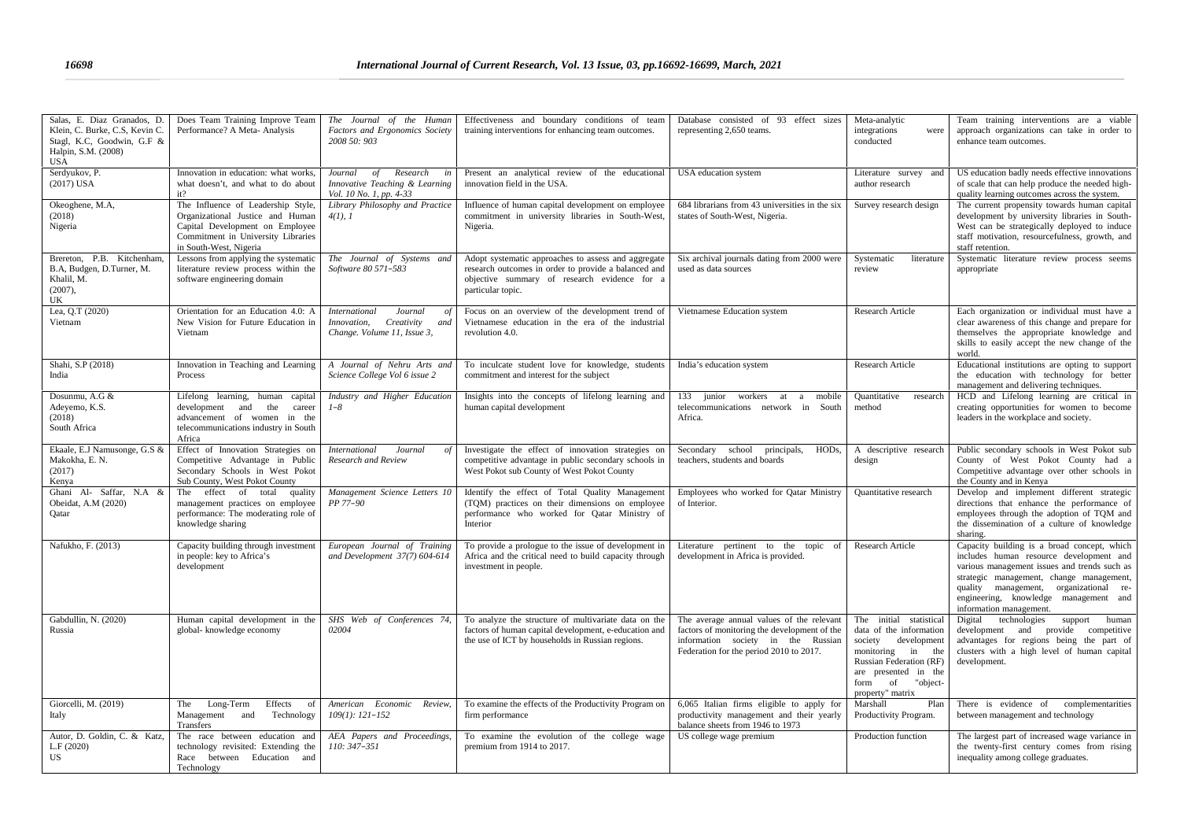| Salas, E. Diaz Granados, D.<br>Klein, C. Burke, C.S, Kevin C.<br>Stagl, K.C. Goodwin, G.F &<br>Halpin, S.M. (2008)<br><b>USA</b> | Does Team Training Improve Team<br>Performance? A Meta-Analysis                                                                                                           | The Journal of the Human<br>Factors and Ergonomics Society<br>2008 50: 903                                       | Effectiveness and boundary conditions of team<br>training interventions for enhancing team outcomes.                                                                             | Database consisted of 93 effect sizes<br>representing 2,650 teams.                                                                                                         | Meta-analytic<br>integrations<br>were<br>conducted                                                                                                                                                 | Team training interventions are a viable<br>approach organizations can take in order to<br>enhance team outcomes.                                                                                                                                                                                |
|----------------------------------------------------------------------------------------------------------------------------------|---------------------------------------------------------------------------------------------------------------------------------------------------------------------------|------------------------------------------------------------------------------------------------------------------|----------------------------------------------------------------------------------------------------------------------------------------------------------------------------------|----------------------------------------------------------------------------------------------------------------------------------------------------------------------------|----------------------------------------------------------------------------------------------------------------------------------------------------------------------------------------------------|--------------------------------------------------------------------------------------------------------------------------------------------------------------------------------------------------------------------------------------------------------------------------------------------------|
| Serdyukov, P.<br>(2017) USA                                                                                                      | Innovation in education: what works,<br>what doesn't, and what to do about<br>it?                                                                                         | of<br>Research<br>Journal<br>in<br>Innovative Teaching & Learning<br>Vol. 10 No. 1, pp. 4-33                     | Present an analytical review of the educational<br>innovation field in the USA.                                                                                                  | USA education system                                                                                                                                                       | Literature survey and<br>author research                                                                                                                                                           | US education badly needs effective innovations<br>of scale that can help produce the needed high-<br>quality learning outcomes across the system.                                                                                                                                                |
| Okeoghene, M.A,<br>(2018)<br>Nigeria                                                                                             | The Influence of Leadership Style,<br>Organizational Justice and Human<br>Capital Development on Employee<br>Commitment in University Libraries<br>in South-West, Nigeria | Library Philosophy and Practice<br>4(1), 1                                                                       | Influence of human capital development on employee<br>commitment in university libraries in South-West,<br>Nigeria.                                                              | 684 librarians from 43 universities in the six<br>states of South-West, Nigeria.                                                                                           | Survey research design                                                                                                                                                                             | The current propensity towards human capital<br>development by university libraries in South-<br>West can be strategically deployed to induce<br>staff motivation, resourcefulness, growth, and<br>staff retention.                                                                              |
| Brereton, P.B. Kitchenham.<br>B.A, Budgen, D.Turner, M.<br>Khalil, M.<br>$(2007)$ ,<br>UK                                        | Lessons from applying the systematic<br>literature review process within the<br>software engineering domain                                                               | The Journal of Systems and<br>Software 80 571-583                                                                | Adopt systematic approaches to assess and aggregate<br>research outcomes in order to provide a balanced and<br>objective summary of research evidence for a<br>particular topic. | Six archival journals dating from 2000 were<br>used as data sources                                                                                                        | Systematic<br>literature<br>review                                                                                                                                                                 | Systematic literature review process seems<br>appropriate                                                                                                                                                                                                                                        |
| Lea, O.T (2020)<br>Vietnam                                                                                                       | Orientation for an Education 4.0: A<br>New Vision for Future Education in<br>Vietnam                                                                                      | <b>International</b><br>Journal<br>-of<br><i>Innovation,</i><br>Creativity<br>and<br>Change. Volume 11, Issue 3, | Focus on an overview of the development trend of<br>Vietnamese education in the era of the industrial<br>revolution 4.0.                                                         | Vietnamese Education system                                                                                                                                                | Research Article                                                                                                                                                                                   | Each organization or individual must have a<br>clear awareness of this change and prepare for<br>themselves the appropriate knowledge and<br>skills to easily accept the new change of the<br>world.                                                                                             |
| Shahi, S.P (2018)<br>India                                                                                                       | Innovation in Teaching and Learning<br>Process                                                                                                                            | A Journal of Nehru Arts and<br>Science College Vol 6 issue 2                                                     | To inculcate student love for knowledge, students<br>commitment and interest for the subject                                                                                     | India's education system                                                                                                                                                   | <b>Research Article</b>                                                                                                                                                                            | Educational institutions are opting to support<br>the education with technology for better<br>management and delivering techniques.                                                                                                                                                              |
| Dosunmu, A.G &<br>Adevemo, K.S.<br>(2018)<br>South Africa                                                                        | Lifelong learning, human capital<br>development<br>and<br>the<br>career<br>advancement of women in the<br>telecommunications industry in South<br>Africa                  | Industry and Higher Education<br>$1 - 8$                                                                         | Insights into the concepts of lifelong learning and<br>human capital development                                                                                                 | 133 junior workers at<br>mobile<br>a<br>telecommunications network in South<br>Africa.                                                                                     | Ouantitative<br>research<br>method                                                                                                                                                                 | HCD and Lifelong learning are critical in<br>creating opportunities for women to become<br>leaders in the workplace and society.                                                                                                                                                                 |
| Ekaale, E.J Namusonge, G.S &<br>Makokha, E. N.<br>(2017)<br>Kenya                                                                | Effect of Innovation Strategies on<br>Competitive Advantage in Public<br>Secondary Schools in West Pokot<br>Sub County, West Pokot County                                 | Journal<br>International<br>of<br>Research and Review                                                            | Investigate the effect of innovation strategies on<br>competitive advantage in public secondary schools in<br>West Pokot sub County of West Pokot County                         | Secondary<br>school<br>principals,<br>HOD <sub>s</sub><br>teachers, students and boards                                                                                    | A descriptive research<br>design                                                                                                                                                                   | Public secondary schools in West Pokot sub<br>County of West Pokot County had a<br>Competitive advantage over other schools in<br>the County and in Kenya                                                                                                                                        |
| Ghani Al- Saffar, N.A &<br>Obeidat, A.M (2020)<br>Qatar                                                                          | The effect of total quality<br>management practices on employee<br>performance: The moderating role of<br>knowledge sharing                                               | Management Science Letters 10<br>PP 77-90                                                                        | Identify the effect of Total Quality Management<br>(TQM) practices on their dimensions on employee<br>performance who worked for Qatar Ministry of<br>Interior                   | Employees who worked for Qatar Ministry<br>of Interior.                                                                                                                    | Quantitative research                                                                                                                                                                              | Develop and implement different strategic<br>directions that enhance the performance of<br>employees through the adoption of TQM and<br>the dissemination of a culture of knowledge<br>sharing.                                                                                                  |
| Nafukho, F. (2013)                                                                                                               | Capacity building through investment<br>in people: key to Africa's<br>development                                                                                         | European Journal of Training<br>and Development 37(7) 604-614                                                    | To provide a prologue to the issue of development in<br>Africa and the critical need to build capacity through<br>investment in people.                                          | Literature pertinent to the topic of<br>development in Africa is provided.                                                                                                 | Research Article                                                                                                                                                                                   | Capacity building is a broad concept, which<br>includes human resource development and<br>various management issues and trends such as<br>strategic management, change management,<br>quality management, organizational re-<br>engineering, knowledge management and<br>information management. |
| Gabdullin, N. (2020)<br>Russia                                                                                                   | Human capital development in the<br>global- knowledge economy                                                                                                             | SHS Web of Conferences 74,<br>02004                                                                              | To analyze the structure of multivariate data on the<br>factors of human capital development, e-education and<br>the use of ICT by households in Russian regions.                | The average annual values of the relevant<br>factors of monitoring the development of the<br>information society in the Russian<br>Federation for the period 2010 to 2017. | The initial statistical<br>data of the information<br>society<br>development<br>monitoring in the<br>Russian Federation (RF)<br>are presented in the<br>of<br>form<br>"object-<br>property" matrix | Digital<br>technologies<br>support<br>human<br>development and provide competitive<br>advantages for regions being the part of<br>clusters with a high level of human capital<br>development.                                                                                                    |
| Giorcelli, M. (2019)<br>Italy                                                                                                    | The Long-Term<br>Effects<br>of<br>Management<br>and<br>Technology<br>Transfers                                                                                            | American Economic<br>Review,<br>$109(1): 121-152$                                                                | To examine the effects of the Productivity Program on<br>firm performance                                                                                                        | 6,065 Italian firms eligible to apply for<br>productivity management and their yearly<br>balance sheets from 1946 to 1973                                                  | Plan<br>Marshall<br>Productivity Program.                                                                                                                                                          | There is evidence of complementarities<br>between management and technology                                                                                                                                                                                                                      |
| Autor, D. Goldin, C. & Katz,<br>L.F(2020)<br>US.                                                                                 | The race between education and<br>technology revisited: Extending the<br>Race between Education and<br>Technology                                                         | AEA Papers and Proceedings,<br>$110: 347 - 351$                                                                  | To examine the evolution of the college wage<br>premium from 1914 to 2017.                                                                                                       | US college wage premium                                                                                                                                                    | Production function                                                                                                                                                                                | The largest part of increased wage variance in<br>the twenty-first century comes from rising<br>inequality among college graduates.                                                                                                                                                              |